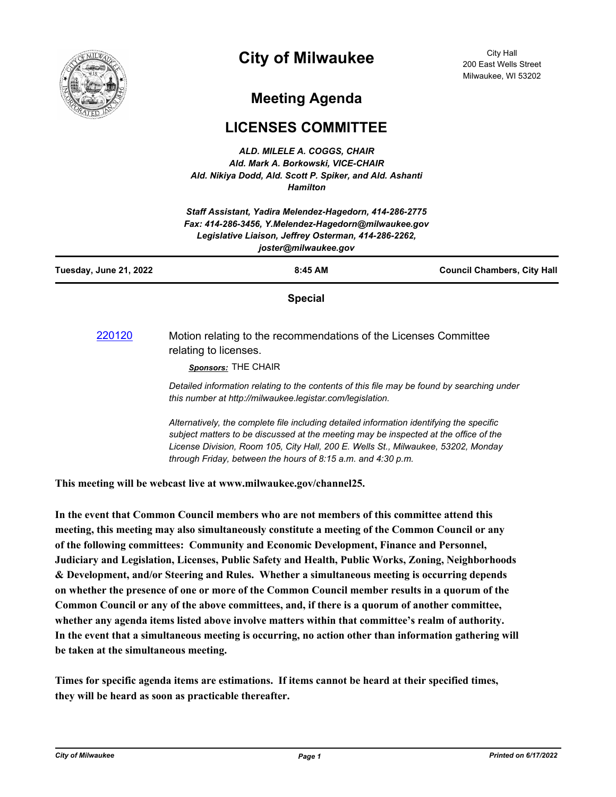

## **City of Milwaukee**

City Hall 200 East Wells Street Milwaukee, WI 53202

## **Meeting Agenda**

## **LICENSES COMMITTEE**

*ALD. MILELE A. COGGS, CHAIR Ald. Mark A. Borkowski, VICE-CHAIR Ald. Nikiya Dodd, Ald. Scott P. Spiker, and Ald. Ashanti Hamilton*

| Staff Assistant, Yadira Melendez-Hagedorn, 414-286-2775<br>Fax: 414-286-3456, Y.Melendez-Hagedorn@milwaukee.gov<br>Legislative Liaison, Jeffrey Osterman, 414-286-2262,<br>joster@milwaukee.gov |                                                                                                                                                                                                                                                                                                                                       |                                    |
|-------------------------------------------------------------------------------------------------------------------------------------------------------------------------------------------------|---------------------------------------------------------------------------------------------------------------------------------------------------------------------------------------------------------------------------------------------------------------------------------------------------------------------------------------|------------------------------------|
| Tuesday, June 21, 2022                                                                                                                                                                          | 8:45 AM                                                                                                                                                                                                                                                                                                                               | <b>Council Chambers, City Hall</b> |
|                                                                                                                                                                                                 | <b>Special</b>                                                                                                                                                                                                                                                                                                                        |                                    |
| 220120                                                                                                                                                                                          | Motion relating to the recommendations of the Licenses Committee<br>relating to licenses.<br>Sponsors: THE CHAIR                                                                                                                                                                                                                      |                                    |
|                                                                                                                                                                                                 | Detailed information relating to the contents of this file may be found by searching under<br>this number at http://milwaukee.legistar.com/legislation.                                                                                                                                                                               |                                    |
|                                                                                                                                                                                                 | Alternatively, the complete file including detailed information identifying the specific<br>subject matters to be discussed at the meeting may be inspected at the office of the<br>License Division, Room 105, City Hall, 200 E. Wells St., Milwaukee, 53202, Monday<br>through Friday, between the hours of 8:15 a.m. and 4:30 p.m. |                                    |

**This meeting will be webcast live at www.milwaukee.gov/channel25.**

**In the event that Common Council members who are not members of this committee attend this meeting, this meeting may also simultaneously constitute a meeting of the Common Council or any of the following committees: Community and Economic Development, Finance and Personnel, Judiciary and Legislation, Licenses, Public Safety and Health, Public Works, Zoning, Neighborhoods & Development, and/or Steering and Rules. Whether a simultaneous meeting is occurring depends on whether the presence of one or more of the Common Council member results in a quorum of the Common Council or any of the above committees, and, if there is a quorum of another committee, whether any agenda items listed above involve matters within that committee's realm of authority. In the event that a simultaneous meeting is occurring, no action other than information gathering will be taken at the simultaneous meeting.**

**Times for specific agenda items are estimations. If items cannot be heard at their specified times, they will be heard as soon as practicable thereafter.**